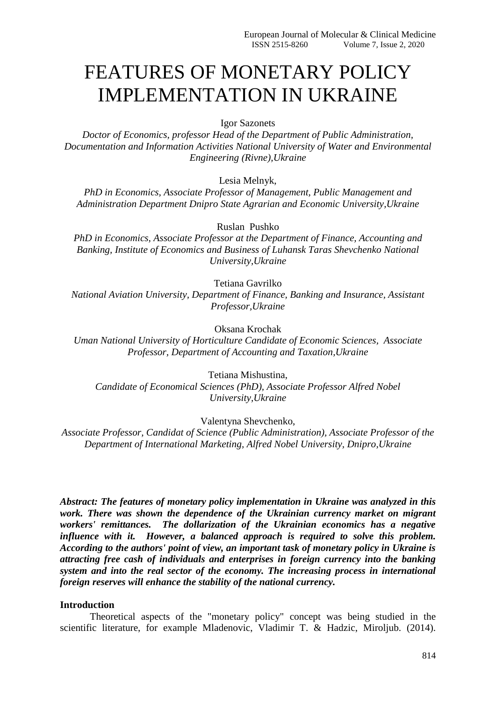# FEATURES OF MONETARY POLICY IMPLEMENTATION IN UKRAINE

Igor Sazonets

*Doctor of Economics, professor Head of the Department of Public Administration, Documentation and Information Activities National University of Water and Environmental Engineering (Rivne),Ukraine*

Lesia Melnyk,

*PhD in Economics, Associate Professor of Management, Public Management and Administration Department Dnipro State Agrarian and Economic University,Ukraine*

Ruslan Pushko

*PhD in Economics, Associate Professor at the Department of Finance, Accounting and Banking, Institute of Economics and Business of Luhansk Taras Shevchenko National University,Ukraine*

Tetiana Gavrilko

*National Aviation University, Department of Finance, Banking and Insurance, Assistant Professor,Ukraine*

Oksana Krochak

*Uman National University of Horticulture Candidate of Economic Sciences, Associate Professor, Department of Accounting and Taxation,Ukraine*

Tetiana Mishustina,

*Candidate of Economical Sciences (PhD), Associate Professor Alfred Nobel University,Ukraine*

Valentyna Shevchenko,

*Associate Professor, Candidat of Science (Public Administration), Associate Professor of the Department of International Marketing, Alfred Nobel University, Dnipro,Ukraine*

*Abstract: The features of monetary policy implementation in Ukraine was analyzed in this work. There was shown the dependence of the Ukrainian currency market on migrant workers' remittances. The dollarization of the Ukrainian economics has a negative influence with it. However, a balanced approach is required to solve this problem. According to the authors' point of view, an important task of monetary policy in Ukraine is attracting free cash of individuals and enterprises in foreign currency into the banking system and into the real sector of the economy. The increasing process in international foreign reserves will enhance the stability of the national currency.*

## **Introduction**

Theoretical aspects of the "monetary policy" concept was being studied in the scientific literature, for example Mladenovic, Vladimir T. & Hadzic, Miroljub. (2014).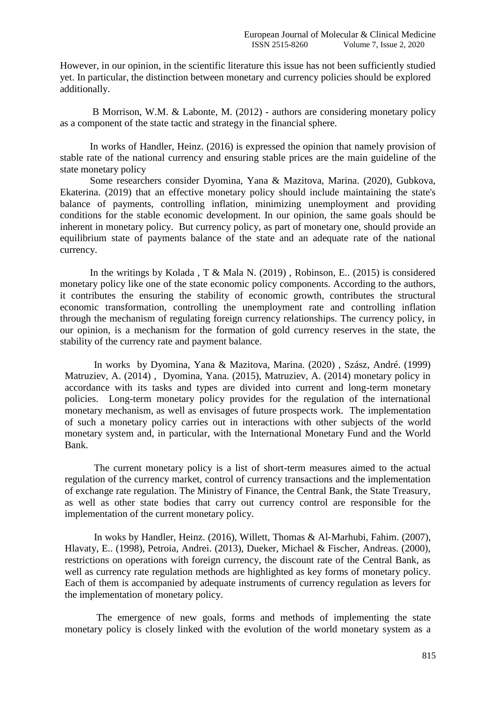However, in our opinion, in the scientific literature this issue has not been sufficiently studied yet. In particular, the distinction between monetary and currency policies should be explored additionally.

B Morrison, W.M. & Labonte, M. (2012) - authors are considering monetary policy as a component of the state tactic and strategy in the financial sphere.

In works of Handler, Heinz. (2016) is expressed the opinion that namely provision of stable rate of the national currency and ensuring stable prices are the main guideline of the state monetary policy

Some researchers consider Dyomina, Yana & Mazitova, Marina. (2020), Gubkova, Ekaterina. (2019) that an effective monetary policy should include maintaining the state's balance of payments, controlling inflation, minimizing unemployment and providing conditions for the stable economic development. In our opinion, the same goals should be inherent in monetary policy. But currency policy, as part of monetary one, should provide an equilibrium state of payments balance of the state and an adequate rate of the national currency.

In the writings by Kolada , T & Mala N. (2019) , Robinson, E.. (2015) is considered monetary policy like one of the state economic policy components. According to the authors, it contributes the ensuring the stability of economic growth, contributes the structural economic transformation, controlling the unemployment rate and controlling inflation through the mechanism of regulating foreign currency relationships. The currency policy, in our opinion, is a mechanism for the formation of gold currency reserves in the state, the stability of the currency rate and payment balance.

In works by Dyomina, Yana & Mazitova, Marina. (2020) , Szász, André. (1999) Matruziev, A. (2014) , Dyomina, Yana. (2015), Matruziev, A. (2014) monetary policy in accordance with its tasks and types are divided into current and long-term monetary policies. Long-term monetary policy provides for the regulation of the international monetary mechanism, as well as envisages of future prospects work. The implementation of such a monetary policy carries out in interactions with other subjects of the world monetary system and, in particular, with the International Monetary Fund and the World Bank.

The current monetary policy is a list of short-term measures aimed to the actual regulation of the currency market, control of currency transactions and the implementation of exchange rate regulation. The Ministry of Finance, the Central Bank, the State Treasury, as well as other state bodies that carry out currency control are responsible for the implementation of the current monetary policy.

In woks by Handler, Heinz. (2016), Willett, Thomas & Al‐Marhubi, Fahim. (2007), Hlavaty, E.. (1998), Petroia, Andrei. (2013), Dueker, Michael & Fischer, Andreas. (2000), restrictions on operations with foreign currency, the discount rate of the Central Bank, as well as currency rate regulation methods are highlighted as key forms of monetary policy. Each of them is accompanied by adequate instruments of currency regulation as levers for the implementation of monetary policy.

The emergence of new goals, forms and methods of implementing the state monetary policy is closely linked with the evolution of the world monetary system as a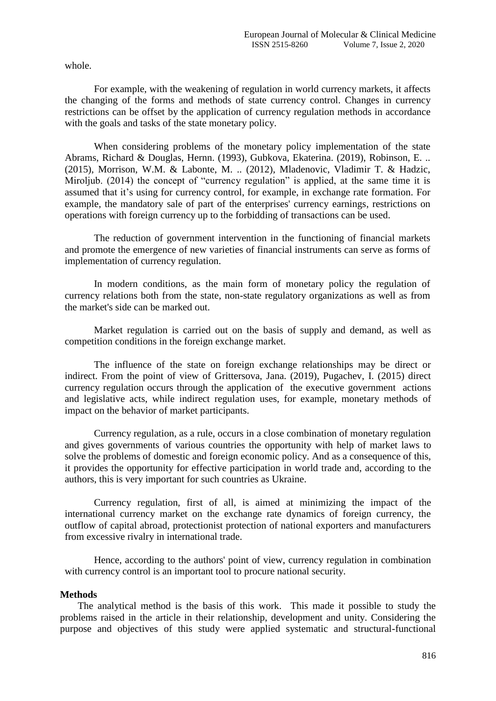whole.

For example, with the weakening of regulation in world currency markets, it affects the changing of the forms and methods of state currency control. Changes in currency restrictions can be offset by the application of currency regulation methods in accordance with the goals and tasks of the state monetary policy.

When considering problems of the monetary policy implementation of the state Abrams, Richard & Douglas, Hernn. (1993), Gubkova, Ekaterina. (2019), Robinson, E. .. (2015), Morrison, W.M. & Labonte, M. .. (2012), Mladenovic, Vladimir T. & Hadzic, Miroljub. (2014) the concept of "currency regulation" is applied, at the same time it is assumed that it's using for currency control, for example, in exchange rate formation. For example, the mandatory sale of part of the enterprises' currency earnings, restrictions on operations with foreign currency up to the forbidding of transactions can be used.

The reduction of government intervention in the functioning of financial markets and promote the emergence of new varieties of financial instruments can serve as forms of implementation of currency regulation.

In modern conditions, as the main form of monetary policy the regulation of currency relations both from the state, non-state regulatory organizations as well as from the market's side can be marked out.

Market regulation is carried out on the basis of supply and demand, as well as competition conditions in the foreign exchange market.

The influence of the state on foreign exchange relationships may be direct or indirect. From the point of view of Grittersova, Jana. (2019), Pugachev, I. (2015) direct currency regulation occurs through the application of the executive government actions and legislative acts, while indirect regulation uses, for example, monetary methods of impact on the behavior of market participants.

Currency regulation, as a rule, occurs in a close combination of monetary regulation and gives governments of various countries the opportunity with help of market laws to solve the problems of domestic and foreign economic policy. And as a consequence of this, it provides the opportunity for effective participation in world trade and, according to the authors, this is very important for such countries as Ukraine.

Currency regulation, first of all, is aimed at minimizing the impact of the international currency market on the exchange rate dynamics of foreign currency, the outflow of capital abroad, protectionist protection of national exporters and manufacturers from excessive rivalry in international trade.

Hence, according to the authors' point of view, currency regulation in combination with currency control is an important tool to procure national security.

## **Methods**

The analytical method is the basis of this work. This made it possible to study the problems raised in the article in their relationship, development and unity. Considering the purpose and objectives of this study were applied systematic and structural-functional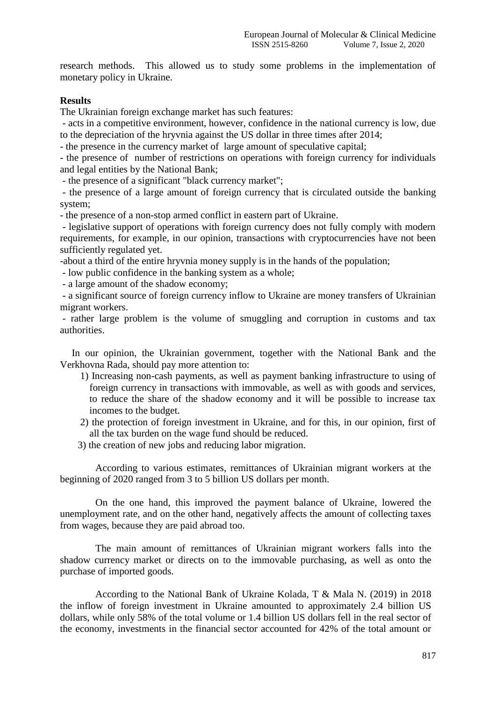research methods. This allowed us to study some problems in the implementation of monetary policy in Ukraine.

## **Results**

The Ukrainian foreign exchange market has such features:

- acts in a competitive environment, however, confidence in the national currency is low, due to the depreciation of the hryvnia against the US dollar in three times after 2014;

- the presence in the currency market of large amount of speculative capital;

- the presence of number of restrictions on operations with foreign currency for individuals and legal entities by the National Bank;

- the presence of a significant "black currency market";

- the presence of a large amount of foreign currency that is circulated outside the banking system;

- the presence of a non-stop armed conflict in eastern part of Ukraine.

- legislative support of operations with foreign currency does not fully comply with modern requirements, for example, in our opinion, transactions with cryptocurrencies have not been sufficiently regulated yet.

-about a third of the entire hryvnia money supply is in the hands of the population;

- low public confidence in the banking system as a whole;

- a large amount of the shadow economy;

- a significant source of foreign currency inflow to Ukraine are money transfers of Ukrainian migrant workers.

- rather large problem is the volume of smuggling and corruption in customs and tax authorities.

In our opinion, the Ukrainian government, together with the National Bank and the Verkhovna Rada, should pay more attention to:

- 1) Increasing non-cash payments, as well as payment banking infrastructure to using of foreign currency in transactions with immovable, as well as with goods and services, to reduce the share of the shadow economy and it will be possible to increase tax incomes to the budget.
- 2) the protection of foreign investment in Ukraine, and for this, in our opinion, first of all the tax burden on the wage fund should be reduced.
- 3) the creation of new jobs and reducing labor migration.

According to various estimates, remittances of Ukrainian migrant workers at the beginning of 2020 ranged from 3 to 5 billion US dollars per month.

On the one hand, this improved the payment balance of Ukraine, lowered the unemployment rate, and on the other hand, negatively affects the amount of collecting taxes from wages, because they are paid abroad too.

The main amount of remittances of Ukrainian migrant workers falls into the shadow currency market or directs on to the immovable purchasing, as well as onto the purchase of imported goods.

According to the National Bank of Ukraine Kolada, T & Mala N. (2019) in 2018 the inflow of foreign investment in Ukraine amounted to approximately 2.4 billion US dollars, while only 58% of the total volume or 1.4 billion US dollars fell in the real sector of the economy, investments in the financial sector accounted for 42% of the total amount or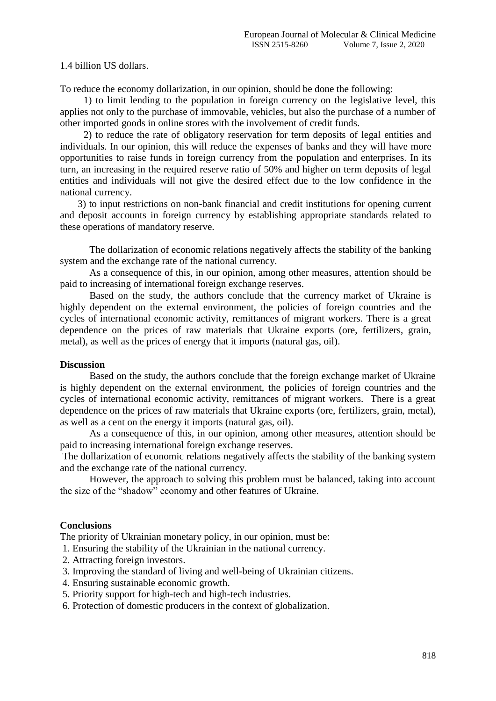1.4 billion US dollars.

To reduce the economy dollarization, in our opinion, should be done the following:

1) to limit lending to the population in foreign currency on the legislative level, this applies not only to the purchase of immovable, vehicles, but also the purchase of a number of other imported goods in online stores with the involvement of credit funds.

2) to reduce the rate of obligatory reservation for term deposits of legal entities and individuals. In our opinion, this will reduce the expenses of banks and they will have more opportunities to raise funds in foreign currency from the population and enterprises. In its turn, an increasing in the required reserve ratio of 50% and higher on term deposits of legal entities and individuals will not give the desired effect due to the low confidence in the national currency.

3) to input restrictions on non-bank financial and credit institutions for opening current and deposit accounts in foreign currency by establishing appropriate standards related to these operations of mandatory reserve.

The dollarization of economic relations negatively affects the stability of the banking system and the exchange rate of the national currency.

As a consequence of this, in our opinion, among other measures, attention should be paid to increasing of international foreign exchange reserves.

Based on the study, the authors conclude that the currency market of Ukraine is highly dependent on the external environment, the policies of foreign countries and the cycles of international economic activity, remittances of migrant workers. There is a great dependence on the prices of raw materials that Ukraine exports (ore, fertilizers, grain, metal), as well as the prices of energy that it imports (natural gas, oil).

## **Discussion**

Based on the study, the authors conclude that the foreign exchange market of Ukraine is highly dependent on the external environment, the policies of foreign countries and the cycles of international economic activity, remittances of migrant workers. There is a great dependence on the prices of raw materials that Ukraine exports (ore, fertilizers, grain, metal), as well as a cent on the energy it imports (natural gas, oil).

As a consequence of this, in our opinion, among other measures, attention should be paid to increasing international foreign exchange reserves.

The dollarization of economic relations negatively affects the stability of the banking system and the exchange rate of the national currency.

However, the approach to solving this problem must be balanced, taking into account the size of the "shadow" economy and other features of Ukraine.

## **Conclusions**

The priority of Ukrainian monetary policy, in our opinion, must be:

- 1. Ensuring the stability of the Ukrainian in the national currency.
- 2. Attracting foreign investors.
- 3. Improving the standard of living and well-being of Ukrainian citizens.
- 4. Ensuring sustainable economic growth.
- 5. Priority support for high-tech and high-tech industries.
- 6. Protection of domestic producers in the context of globalization.